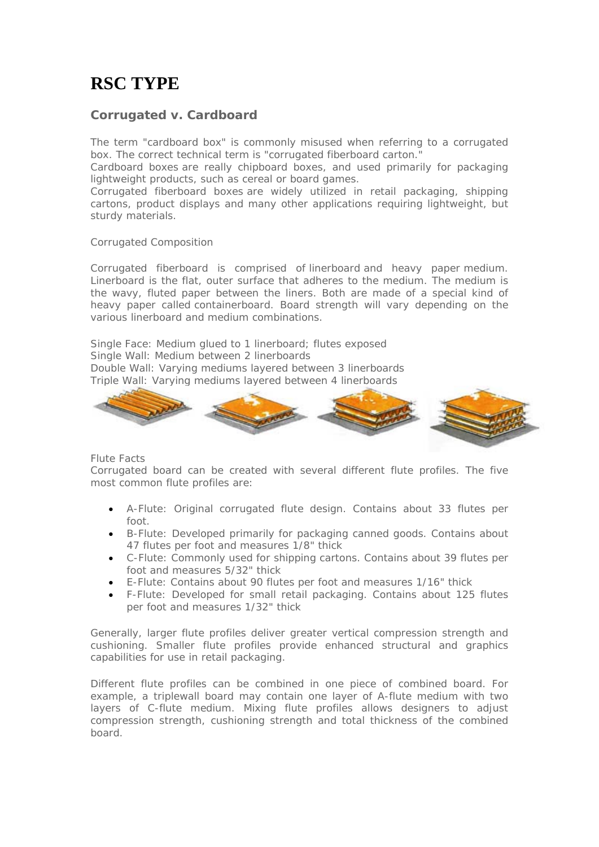# **RSC TYPE**

## **Corrugated v. Cardboard**

The term "cardboard box" is commonly misused when referring to a corrugated box. The correct technical term is "corrugated fiberboard carton."

Cardboard boxes are really chipboard boxes, and used primarily for packaging lightweight products, such as cereal or board games.

Corrugated fiberboard boxes are widely utilized in retail packaging, shipping cartons, product displays and many other applications requiring lightweight, but sturdy materials.

#### Corrugated Composition

Corrugated fiberboard is comprised of linerboard and heavy paper medium. Linerboard is the flat, outer surface that adheres to the medium. The medium is the wavy, fluted paper between the liners. Both are made of a special kind of heavy paper called containerboard. Board strength will vary depending on the various linerboard and medium combinations.

Single Face: Medium glued to 1 linerboard; flutes exposed Single Wall: Medium between 2 linerboards Double Wall: Varying mediums layered between 3 linerboards Triple Wall: Varying mediums layered between 4 linerboards



Flute Facts

Corrugated board can be created with several different flute profiles. The five most common flute profiles are:

- A-Flute: Original corrugated flute design. Contains about 33 flutes per foot.
- B-Flute: Developed primarily for packaging canned goods. Contains about 47 flutes per foot and measures 1/8" thick
- C-Flute: Commonly used for shipping cartons. Contains about 39 flutes per foot and measures 5/32" thick
- E-Flute: Contains about 90 flutes per foot and measures 1/16" thick
- F-Flute: Developed for small retail packaging. Contains about 125 flutes per foot and measures 1/32" thick

Generally, larger flute profiles deliver greater vertical compression strength and cushioning. Smaller flute profiles provide enhanced structural and graphics capabilities for use in retail packaging.

Different flute profiles can be combined in one piece of combined board. For example, a triplewall board may contain one layer of A-flute medium with two layers of C-flute medium. Mixing flute profiles allows designers to adjust compression strength, cushioning strength and total thickness of the combined board.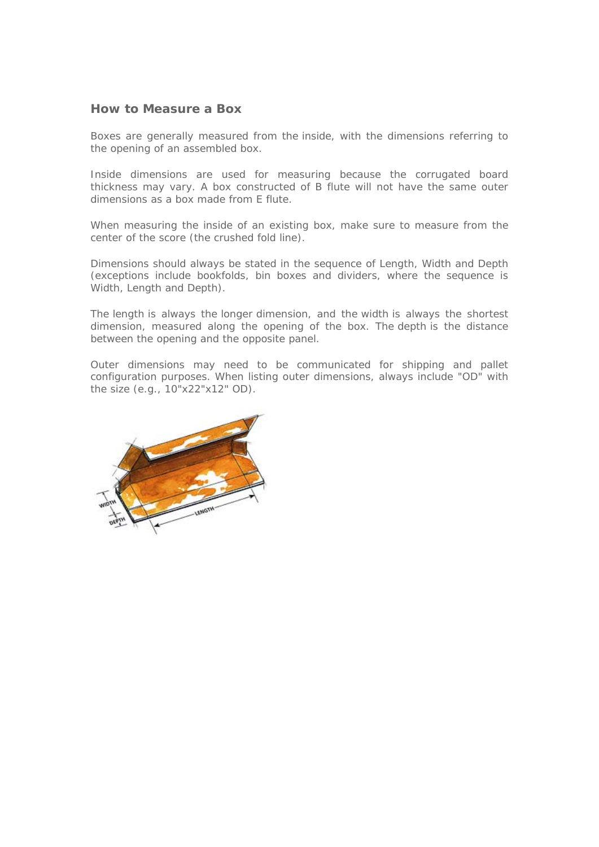### **How to Measure a Box**

Boxes are generally measured from the inside, with the dimensions referring to the opening of an assembled box.

Inside dimensions are used for measuring because the corrugated board thickness may vary. A box constructed of B flute will not have the same outer dimensions as a box made from E flute.

When measuring the inside of an existing box, make sure to measure from the center of the score (the crushed fold line).

Dimensions should always be stated in the sequence of Length, Width and Depth (exceptions include bookfolds, bin boxes and dividers, where the sequence is Width, Length and Depth).

The length is always the longer dimension, and the width is always the shortest dimension, measured along the opening of the box. The depth is the distance between the opening and the opposite panel.

Outer dimensions may need to be communicated for shipping and pallet configuration purposes. When listing outer dimensions, always include "OD" with the size (e.g., 10"x22"x12" OD).

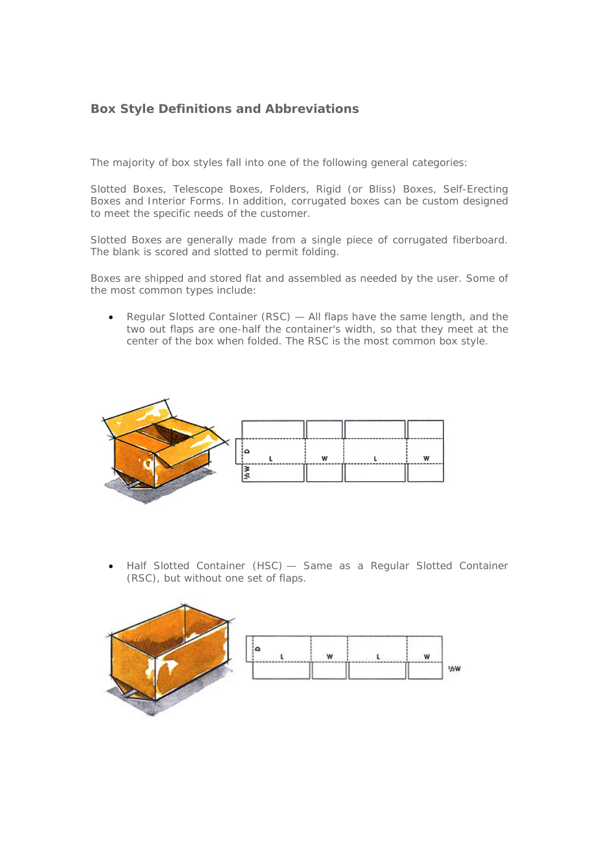# **Box Style Definitions and Abbreviations**

The majority of box styles fall into one of the following general categories:

Slotted Boxes, Telescope Boxes, Folders, Rigid (or Bliss) Boxes, Self-Erecting Boxes and Interior Forms. In addition, corrugated boxes can be custom designed to meet the specific needs of the customer.

Slotted Boxes are generally made from a single piece of corrugated fiberboard. The blank is scored and slotted to permit folding.

Boxes are shipped and stored flat and assembled as needed by the user. Some of the most common types include:

• Regular Slotted Container (RSC) — All flaps have the same length, and the two out flaps are one-half the container's width, so that they meet at the center of the box when folded. The RSC is the most common box style.



• Half Slotted Container (HSC) — Same as a Regular Slotted Container (RSC), but without one set of flaps.



|              | w                              |          |     |
|--------------|--------------------------------|----------|-----|
| ------------ | the property of the control of | -------- | --- |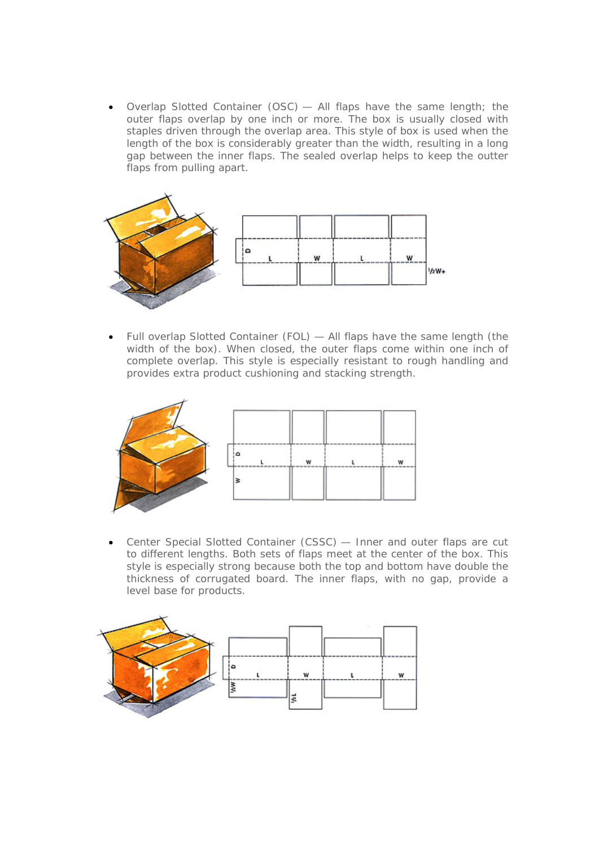• Overlap Slotted Container (OSC) — All flaps have the same length; the outer flaps overlap by one inch or more. The box is usually closed with staples driven through the overlap area. This style of box is used when the length of the box is considerably greater than the width, resulting in a long gap between the inner flaps. The sealed overlap helps to keep the outter flaps from pulling apart.



• Full overlap Slotted Container (FOL) — All flaps have the same length (the width of the box). When closed, the outer flaps come within one inch of complete overlap. This style is especially resistant to rough handling and provides extra product cushioning and stacking strength.



• Center Special Slotted Container (CSSC) — Inner and outer flaps are cut to different lengths. Both sets of flaps meet at the center of the box. This style is especially strong because both the top and bottom have double the thickness of corrugated board. The inner flaps, with no gap, provide a level base for products.

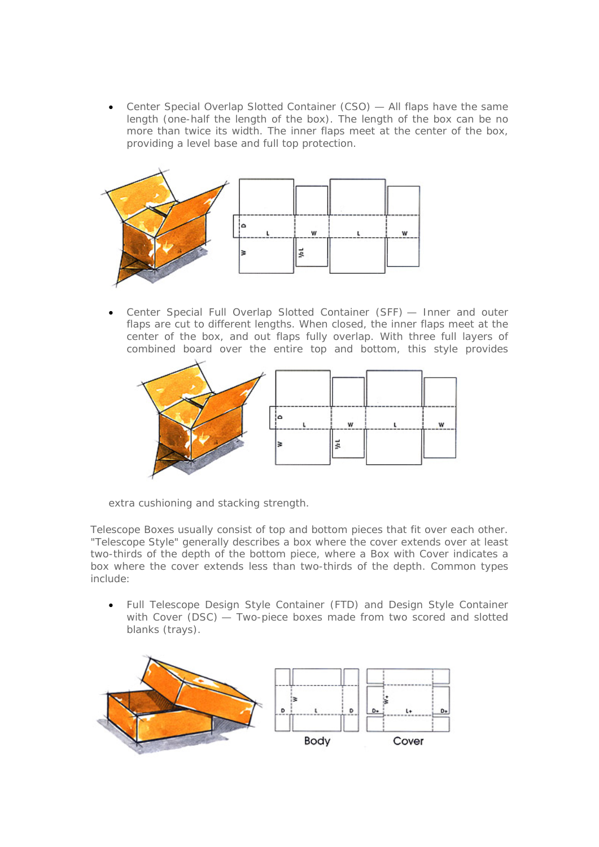• Center Special Overlap Slotted Container (CSO) — All flaps have the same length (one-half the length of the box). The length of the box can be no more than twice its width. The inner flaps meet at the center of the box, providing a level base and full top protection.



• Center Special Full Overlap Slotted Container (SFF) — Inner and outer flaps are cut to different lengths. When closed, the inner flaps meet at the center of the box, and out flaps fully overlap. With three full layers of combined board over the entire top and bottom, this style provides



extra cushioning and stacking strength.

Telescope Boxes usually consist of top and bottom pieces that fit over each other. "Telescope Style" generally describes a box where the cover extends over at least two-thirds of the depth of the bottom piece, where a Box with Cover indicates a box where the cover extends less than two-thirds of the depth. Common types include:

• Full Telescope Design Style Container (FTD) and Design Style Container with Cover (DSC) — Two-piece boxes made from two scored and slotted blanks (trays).

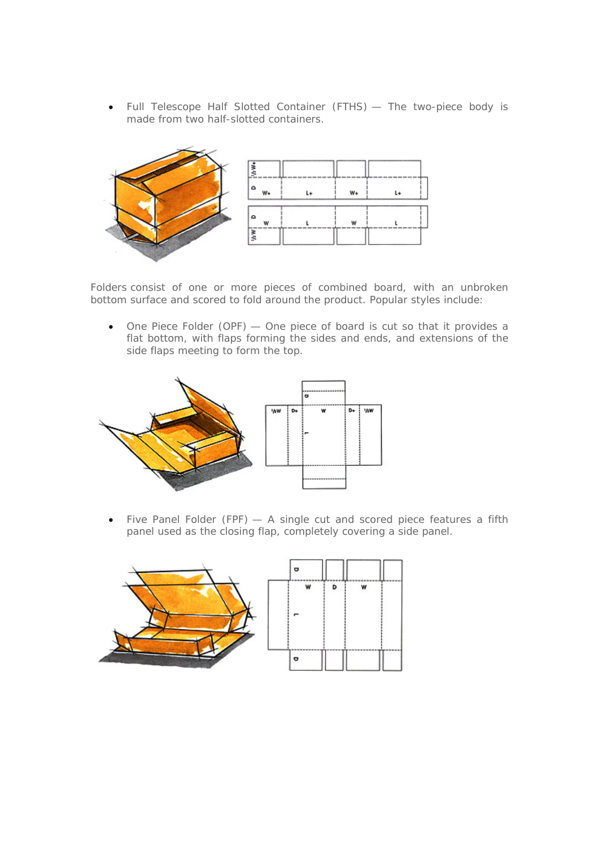• Full Telescope Half Slotted Container (FTHS) — The two-piece body is made from two half-slotted containers.



Folders consist of one or more pieces of combined board, with an unbroken bottom surface and scored to fold around the product. Popular styles include:

• One Piece Folder (OPF) — One piece of board is cut so that it provides a flat bottom, with flaps forming the sides and ends, and extensions of the side flaps meeting to form the top.



Five Panel Folder (FPF)  $-$  A single cut and scored piece features a fifth panel used as the closing flap, completely covering a side panel.

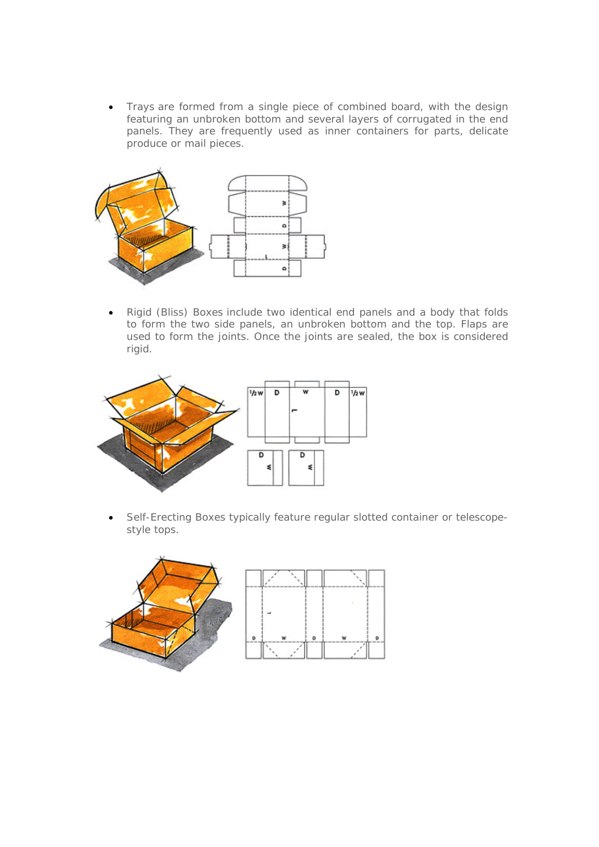• Trays are formed from a single piece of combined board, with the design featuring an unbroken bottom and several layers of corrugated in the end panels. They are frequently used as inner containers for parts, delicate produce or mail pieces.



• Rigid (Bliss) Boxes include two identical end panels and a body that folds to form the two side panels, an unbroken bottom and the top. Flaps are used to form the joints. Once the joints are sealed, the box is considered rigid.



• Self-Erecting Boxes typically feature regular slotted container or telescopestyle tops.



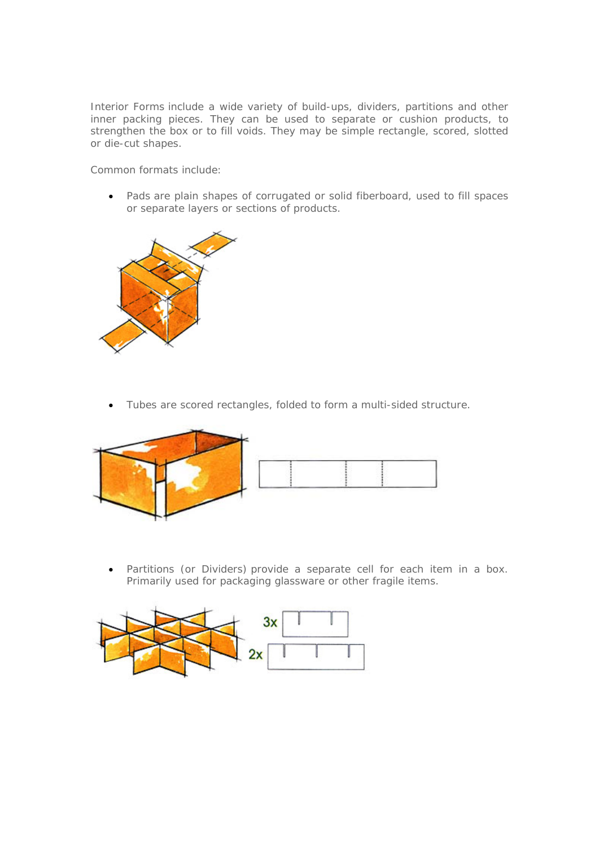Interior Forms include a wide variety of build-ups, dividers, partitions and other inner packing pieces. They can be used to separate or cushion products, to strengthen the box or to fill voids. They may be simple rectangle, scored, slotted or die-cut shapes.

Common formats include:

• Pads are plain shapes of corrugated or solid fiberboard, used to fill spaces or separate layers or sections of products.



• Tubes are scored rectangles, folded to form a multi-sided structure.



• Partitions (or Dividers) provide a separate cell for each item in a box. Primarily used for packaging glassware or other fragile items.